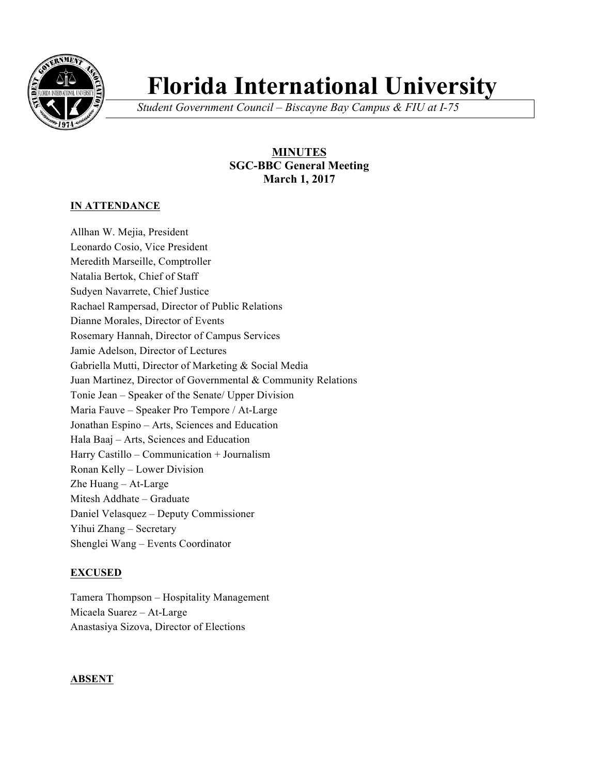

# **Florida International University**

*Student Government Council – Biscayne Bay Campus & FIU at I-75*

# **MINUTES SGC-BBC General Meeting March 1, 2017**

## **IN ATTENDANCE**

Allhan W. Mejia, President Leonardo Cosio, Vice President Meredith Marseille, Comptroller Natalia Bertok, Chief of Staff Sudyen Navarrete, Chief Justice Rachael Rampersad, Director of Public Relations Dianne Morales, Director of Events Rosemary Hannah, Director of Campus Services Jamie Adelson, Director of Lectures Gabriella Mutti, Director of Marketing & Social Media Juan Martinez, Director of Governmental & Community Relations Tonie Jean – Speaker of the Senate/ Upper Division Maria Fauve – Speaker Pro Tempore / At-Large Jonathan Espino – Arts, Sciences and Education Hala Baaj – Arts, Sciences and Education Harry Castillo – Communication + Journalism Ronan Kelly – Lower Division Zhe Huang – At-Large Mitesh Addhate – Graduate Daniel Velasquez – Deputy Commissioner Yihui Zhang – Secretary Shenglei Wang – Events Coordinator

# **EXCUSED**

Tamera Thompson – Hospitality Management Micaela Suarez – At-Large Anastasiya Sizova, Director of Elections

#### **ABSENT**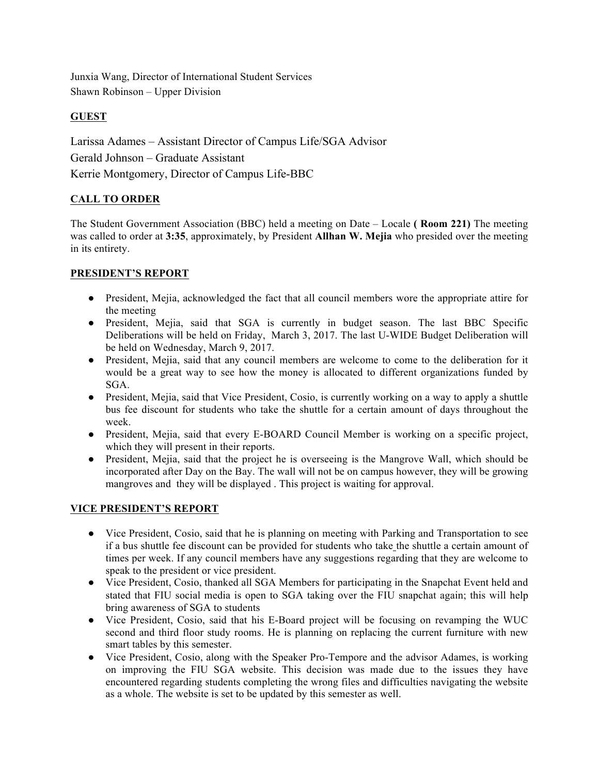Junxia Wang, Director of International Student Services Shawn Robinson – Upper Division

## **GUEST**

Larissa Adames – Assistant Director of Campus Life/SGA Advisor Gerald Johnson – Graduate Assistant Kerrie Montgomery, Director of Campus Life-BBC

# **CALL TO ORDER**

The Student Government Association (BBC) held a meeting on Date – Locale **( Room 221)** The meeting was called to order at **3:35**, approximately, by President **Allhan W. Mejia** who presided over the meeting in its entirety.

#### **PRESIDENT'S REPORT**

- President, Mejia, acknowledged the fact that all council members wore the appropriate attire for the meeting
- President, Mejia, said that SGA is currently in budget season. The last BBC Specific Deliberations will be held on Friday, March 3, 2017. The last U-WIDE Budget Deliberation will be held on Wednesday, March 9, 2017.
- President, Mejia, said that any council members are welcome to come to the deliberation for it would be a great way to see how the money is allocated to different organizations funded by SGA.
- President, Mejia, said that Vice President, Cosio, is currently working on a way to apply a shuttle bus fee discount for students who take the shuttle for a certain amount of days throughout the week.
- President, Mejia, said that every E-BOARD Council Member is working on a specific project, which they will present in their reports.
- President, Mejia, said that the project he is overseeing is the Mangrove Wall, which should be incorporated after Day on the Bay. The wall will not be on campus however, they will be growing mangroves and they will be displayed . This project is waiting for approval.

#### **VICE PRESIDENT'S REPORT**

- Vice President, Cosio, said that he is planning on meeting with Parking and Transportation to see if a bus shuttle fee discount can be provided for students who take the shuttle a certain amount of times per week. If any council members have any suggestions regarding that they are welcome to speak to the president or vice president.
- Vice President, Cosio, thanked all SGA Members for participating in the Snapchat Event held and stated that FIU social media is open to SGA taking over the FIU snapchat again; this will help bring awareness of SGA to students
- Vice President, Cosio, said that his E-Board project will be focusing on revamping the WUC second and third floor study rooms. He is planning on replacing the current furniture with new smart tables by this semester.
- Vice President, Cosio, along with the Speaker Pro-Tempore and the advisor Adames, is working on improving the FIU SGA website. This decision was made due to the issues they have encountered regarding students completing the wrong files and difficulties navigating the website as a whole. The website is set to be updated by this semester as well.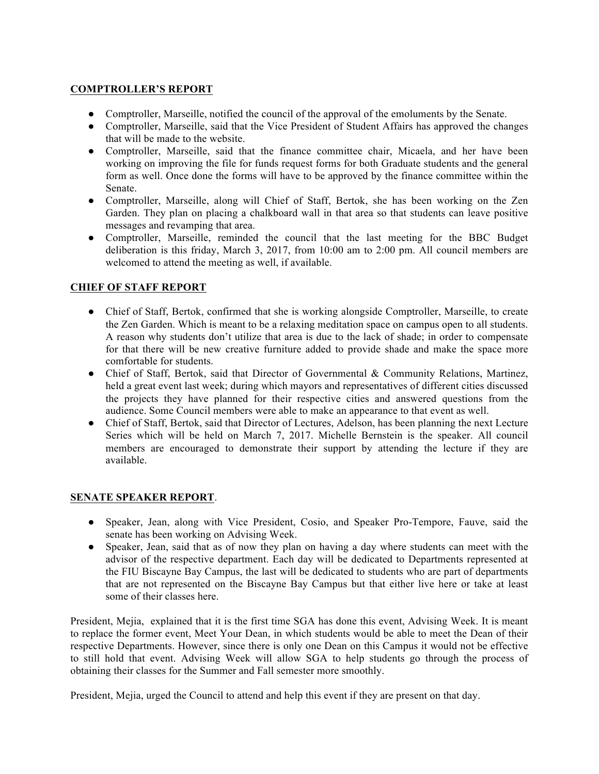#### **COMPTROLLER'S REPORT**

- Comptroller, Marseille, notified the council of the approval of the emoluments by the Senate.
- Comptroller, Marseille, said that the Vice President of Student Affairs has approved the changes that will be made to the website.
- Comptroller, Marseille, said that the finance committee chair, Micaela, and her have been working on improving the file for funds request forms for both Graduate students and the general form as well. Once done the forms will have to be approved by the finance committee within the Senate.
- Comptroller, Marseille, along will Chief of Staff, Bertok, she has been working on the Zen Garden. They plan on placing a chalkboard wall in that area so that students can leave positive messages and revamping that area.
- Comptroller, Marseille, reminded the council that the last meeting for the BBC Budget deliberation is this friday, March 3, 2017, from 10:00 am to 2:00 pm. All council members are welcomed to attend the meeting as well, if available.

## **CHIEF OF STAFF REPORT**

- Chief of Staff, Bertok, confirmed that she is working alongside Comptroller, Marseille, to create the Zen Garden. Which is meant to be a relaxing meditation space on campus open to all students. A reason why students don't utilize that area is due to the lack of shade; in order to compensate for that there will be new creative furniture added to provide shade and make the space more comfortable for students.
- Chief of Staff, Bertok, said that Director of Governmental & Community Relations, Martinez, held a great event last week; during which mayors and representatives of different cities discussed the projects they have planned for their respective cities and answered questions from the audience. Some Council members were able to make an appearance to that event as well.
- Chief of Staff, Bertok, said that Director of Lectures, Adelson, has been planning the next Lecture Series which will be held on March 7, 2017. Michelle Bernstein is the speaker. All council members are encouraged to demonstrate their support by attending the lecture if they are available.

#### **SENATE SPEAKER REPORT**.

- Speaker, Jean, along with Vice President, Cosio, and Speaker Pro-Tempore, Fauve, said the senate has been working on Advising Week.
- Speaker, Jean, said that as of now they plan on having a day where students can meet with the advisor of the respective department. Each day will be dedicated to Departments represented at the FIU Biscayne Bay Campus, the last will be dedicated to students who are part of departments that are not represented on the Biscayne Bay Campus but that either live here or take at least some of their classes here.

President, Mejia, explained that it is the first time SGA has done this event, Advising Week. It is meant to replace the former event, Meet Your Dean, in which students would be able to meet the Dean of their respective Departments. However, since there is only one Dean on this Campus it would not be effective to still hold that event. Advising Week will allow SGA to help students go through the process of obtaining their classes for the Summer and Fall semester more smoothly.

President, Mejia, urged the Council to attend and help this event if they are present on that day.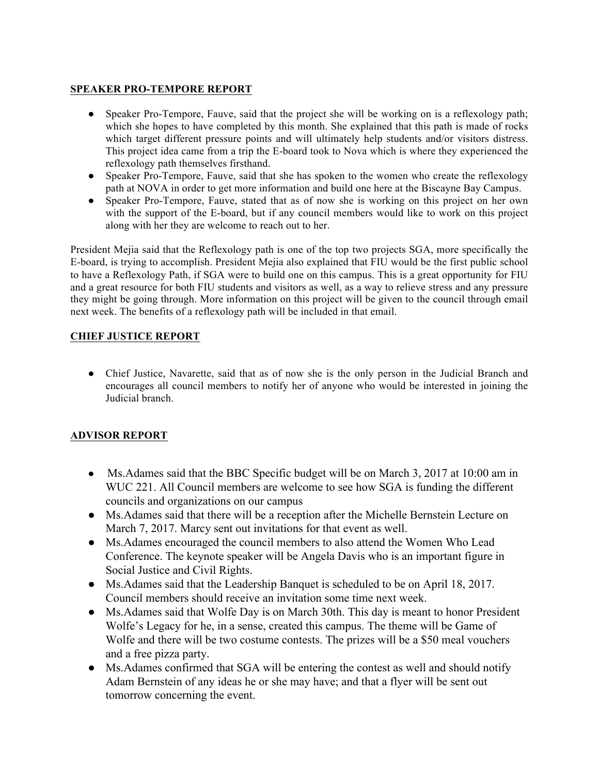## **SPEAKER PRO-TEMPORE REPORT**

- Speaker Pro-Tempore, Fauve, said that the project she will be working on is a reflexology path; which she hopes to have completed by this month. She explained that this path is made of rocks which target different pressure points and will ultimately help students and/or visitors distress. This project idea came from a trip the E-board took to Nova which is where they experienced the reflexology path themselves firsthand.
- Speaker Pro-Tempore, Fauve, said that she has spoken to the women who create the reflexology path at NOVA in order to get more information and build one here at the Biscayne Bay Campus.
- Speaker Pro-Tempore, Fauve, stated that as of now she is working on this project on her own with the support of the E-board, but if any council members would like to work on this project along with her they are welcome to reach out to her.

President Mejia said that the Reflexology path is one of the top two projects SGA, more specifically the E-board, is trying to accomplish. President Mejia also explained that FIU would be the first public school to have a Reflexology Path, if SGA were to build one on this campus. This is a great opportunity for FIU and a great resource for both FIU students and visitors as well, as a way to relieve stress and any pressure they might be going through. More information on this project will be given to the council through email next week. The benefits of a reflexology path will be included in that email.

# **CHIEF JUSTICE REPORT**

• Chief Justice, Navarette, said that as of now she is the only person in the Judicial Branch and encourages all council members to notify her of anyone who would be interested in joining the Judicial branch.

# **ADVISOR REPORT**

- Ms. Adames said that the BBC Specific budget will be on March 3, 2017 at 10:00 am in WUC 221. All Council members are welcome to see how SGA is funding the different councils and organizations on our campus
- Ms.Adames said that there will be a reception after the Michelle Bernstein Lecture on March 7, 2017. Marcy sent out invitations for that event as well.
- Ms.Adames encouraged the council members to also attend the Women Who Lead Conference. The keynote speaker will be Angela Davis who is an important figure in Social Justice and Civil Rights.
- Ms.Adames said that the Leadership Banquet is scheduled to be on April 18, 2017. Council members should receive an invitation some time next week.
- Ms. Adames said that Wolfe Day is on March 30th. This day is meant to honor President Wolfe's Legacy for he, in a sense, created this campus. The theme will be Game of Wolfe and there will be two costume contests. The prizes will be a \$50 meal vouchers and a free pizza party.
- Ms. Adames confirmed that SGA will be entering the contest as well and should notify Adam Bernstein of any ideas he or she may have; and that a flyer will be sent out tomorrow concerning the event.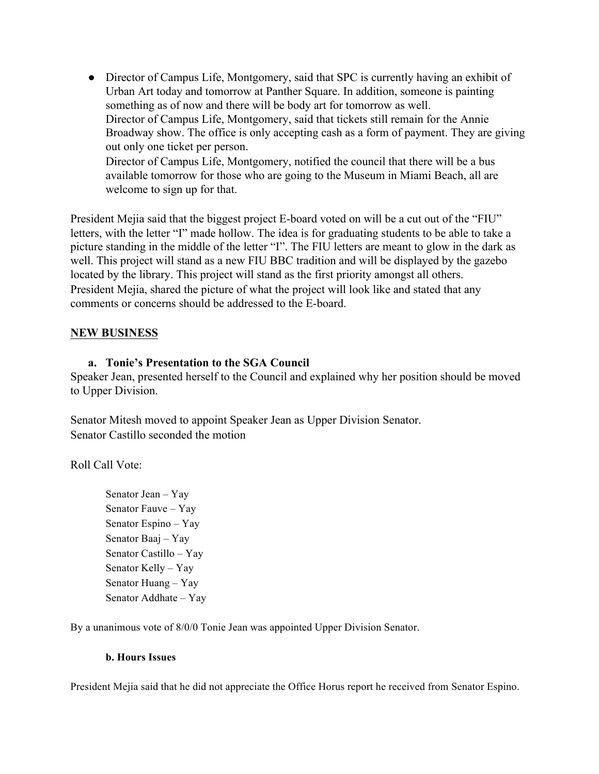• Director of Campus Life, Montgomery, said that SPC is currently having an exhibit of Urban Art today and tomorrow at Panther Square. In addition, someone is painting something as of now and there will be body art for tomorrow as well. Director of Campus Life, Montgomery, said that tickets still remain for the Annie Broadway show. The office is only accepting cash as a form of payment. They are giving out only one ticket per person. Director of Campus Life, Montgomery, notified the council that there will be a bus available tomorrow for those who are going to the Museum in Miami Beach, all are

welcome to sign up for that.

President Mejia said that the biggest project E-board voted on will be a cut out of the "FIU" letters, with the letter "I" made hollow. The idea is for graduating students to be able to take a picture standing in the middle of the letter "I". The FIU letters are meant to glow in the dark as well. This project will stand as a new FIU BBC tradition and will be displayed by the gazebo located by the library. This project will stand as the first priority amongst all others. President Mejia, shared the picture of what the project will look like and stated that any comments or concerns should be addressed to the E-board.

#### **NEW BUSINESS**

#### **a. Tonie's Presentation to the SGA Council**

Speaker Jean, presented herself to the Council and explained why her position should be moved to Upper Division.

Senator Mitesh moved to appoint Speaker Jean as Upper Division Senator. Senator Castillo seconded the motion

Roll Call Vote:

Senator Jean – Yay Senator Fauve – Yay Senator Espino – Yay Senator Baaj – Yay Senator Castillo – Yay Senator Kelly – Yay Senator Huang – Yay Senator Addhate – Yay

By a unanimous vote of 8/0/0 Tonie Jean was appointed Upper Division Senator.

#### **b. Hours Issues**

President Mejia said that he did not appreciate the Office Horus report he received from Senator Espino.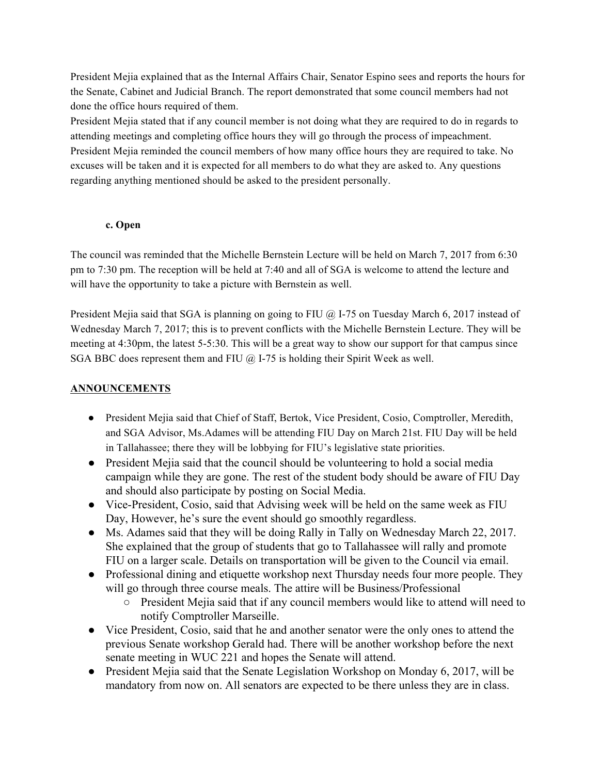President Mejia explained that as the Internal Affairs Chair, Senator Espino sees and reports the hours for the Senate, Cabinet and Judicial Branch. The report demonstrated that some council members had not done the office hours required of them.

President Mejia stated that if any council member is not doing what they are required to do in regards to attending meetings and completing office hours they will go through the process of impeachment. President Mejia reminded the council members of how many office hours they are required to take. No excuses will be taken and it is expected for all members to do what they are asked to. Any questions regarding anything mentioned should be asked to the president personally.

## **c. Open**

The council was reminded that the Michelle Bernstein Lecture will be held on March 7, 2017 from 6:30 pm to 7:30 pm. The reception will be held at 7:40 and all of SGA is welcome to attend the lecture and will have the opportunity to take a picture with Bernstein as well.

President Mejia said that SGA is planning on going to FIU @ I-75 on Tuesday March 6, 2017 instead of Wednesday March 7, 2017; this is to prevent conflicts with the Michelle Bernstein Lecture. They will be meeting at 4:30pm, the latest 5-5:30. This will be a great way to show our support for that campus since SGA BBC does represent them and FIU  $\omega$  I-75 is holding their Spirit Week as well.

# **ANNOUNCEMENTS**

- President Mejia said that Chief of Staff, Bertok, Vice President, Cosio, Comptroller, Meredith, and SGA Advisor, Ms.Adames will be attending FIU Day on March 21st. FIU Day will be held in Tallahassee; there they will be lobbying for FIU's legislative state priorities.
- President Mejia said that the council should be volunteering to hold a social media campaign while they are gone. The rest of the student body should be aware of FIU Day and should also participate by posting on Social Media.
- Vice-President, Cosio, said that Advising week will be held on the same week as FIU Day, However, he's sure the event should go smoothly regardless.
- Ms. Adames said that they will be doing Rally in Tally on Wednesday March 22, 2017. She explained that the group of students that go to Tallahassee will rally and promote FIU on a larger scale. Details on transportation will be given to the Council via email.
- Professional dining and etiquette workshop next Thursday needs four more people. They will go through three course meals. The attire will be Business/Professional
	- President Mejia said that if any council members would like to attend will need to notify Comptroller Marseille.
- Vice President, Cosio, said that he and another senator were the only ones to attend the previous Senate workshop Gerald had. There will be another workshop before the next senate meeting in WUC 221 and hopes the Senate will attend.
- President Mejia said that the Senate Legislation Workshop on Monday 6, 2017, will be mandatory from now on. All senators are expected to be there unless they are in class.